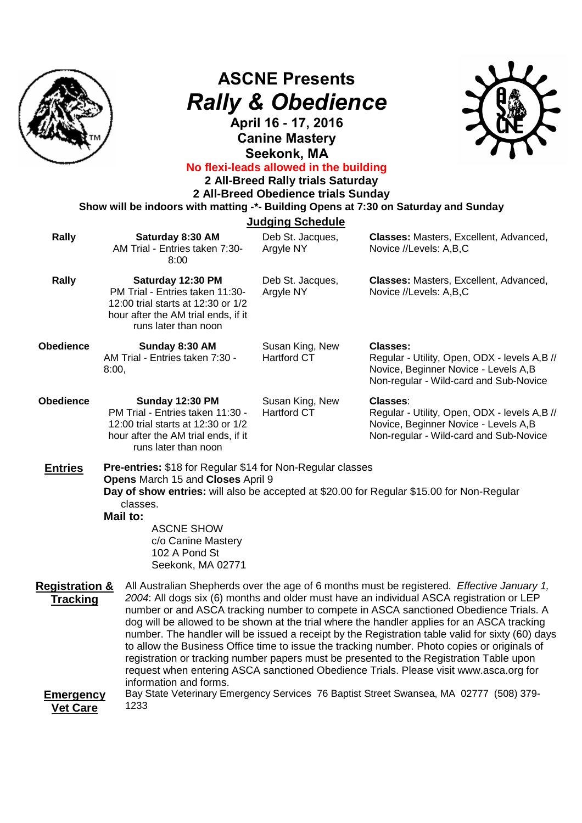

## **ASCNE Presents** *Rally & Obedience*

**April 16 - 17, 2016 Canine Mastery Seekonk, MA**



## **No flexi-leads allowed in the building**

**2 All-Breed Rally trials Saturday** 

**2 All-Breed Obedience trials Sunday Show will be indoors with matting -\*- Building Opens at 7:30 on Saturday and Sunday**

| <b>Judging Schedule</b>                                                      |                                                                                                                                                                                                                 |                                       |                                                                                                                                                                                                                                                                                                                                                                                                                                                                                                                                                                                                                                                                                                                                                                                                                                                                 |  |
|------------------------------------------------------------------------------|-----------------------------------------------------------------------------------------------------------------------------------------------------------------------------------------------------------------|---------------------------------------|-----------------------------------------------------------------------------------------------------------------------------------------------------------------------------------------------------------------------------------------------------------------------------------------------------------------------------------------------------------------------------------------------------------------------------------------------------------------------------------------------------------------------------------------------------------------------------------------------------------------------------------------------------------------------------------------------------------------------------------------------------------------------------------------------------------------------------------------------------------------|--|
| <b>Rally</b>                                                                 | Saturday 8:30 AM<br>AM Trial - Entries taken 7:30-<br>8:00                                                                                                                                                      | Deb St. Jacques,<br>Argyle NY         | Classes: Masters, Excellent, Advanced,<br>Novice //Levels: A,B,C                                                                                                                                                                                                                                                                                                                                                                                                                                                                                                                                                                                                                                                                                                                                                                                                |  |
| Rally                                                                        | Saturday 12:30 PM<br>PM Trial - Entries taken 11:30-<br>12:00 trial starts at 12:30 or 1/2<br>hour after the AM trial ends, if it<br>runs later than noon                                                       | Deb St. Jacques,<br>Argyle NY         | Classes: Masters, Excellent, Advanced,<br>Novice //Levels: A,B,C                                                                                                                                                                                                                                                                                                                                                                                                                                                                                                                                                                                                                                                                                                                                                                                                |  |
| <b>Obedience</b>                                                             | Sunday 8:30 AM<br>AM Trial - Entries taken 7:30 -<br>8:00,                                                                                                                                                      | Susan King, New<br><b>Hartford CT</b> | Classes:<br>Regular - Utility, Open, ODX - levels A,B //<br>Novice, Beginner Novice - Levels A,B<br>Non-regular - Wild-card and Sub-Novice                                                                                                                                                                                                                                                                                                                                                                                                                                                                                                                                                                                                                                                                                                                      |  |
| <b>Obedience</b>                                                             | <b>Sunday 12:30 PM</b><br>PM Trial - Entries taken 11:30 -<br>12:00 trial starts at 12:30 or 1/2<br>hour after the AM trial ends, if it<br>runs later than noon                                                 | Susan King, New<br><b>Hartford CT</b> | <b>Classes:</b><br>Regular - Utility, Open, ODX - levels A,B //<br>Novice, Beginner Novice - Levels A, B<br>Non-regular - Wild-card and Sub-Novice                                                                                                                                                                                                                                                                                                                                                                                                                                                                                                                                                                                                                                                                                                              |  |
| <b>Entries</b>                                                               | Pre-entries: \$18 for Regular \$14 for Non-Regular classes<br>Opens March 15 and Closes April 9<br>classes.<br><b>Mail to:</b><br><b>ASCNE SHOW</b><br>c/o Canine Mastery<br>102 A Pond St<br>Seekonk, MA 02771 |                                       | Day of show entries: will also be accepted at \$20.00 for Regular \$15.00 for Non-Regular                                                                                                                                                                                                                                                                                                                                                                                                                                                                                                                                                                                                                                                                                                                                                                       |  |
| <b>Registration &amp;</b><br><b>Tracking</b><br><b>Emergency</b><br>Vat Cara | information and forms.<br>1233                                                                                                                                                                                  |                                       | All Australian Shepherds over the age of 6 months must be registered. Effective January 1,<br>2004: All dogs six (6) months and older must have an individual ASCA registration or LEP<br>number or and ASCA tracking number to compete in ASCA sanctioned Obedience Trials. A<br>dog will be allowed to be shown at the trial where the handler applies for an ASCA tracking<br>number. The handler will be issued a receipt by the Registration table valid for sixty (60) days<br>to allow the Business Office time to issue the tracking number. Photo copies or originals of<br>registration or tracking number papers must be presented to the Registration Table upon<br>request when entering ASCA sanctioned Obedience Trials. Please visit www.asca.org for<br>Bay State Veterinary Emergency Services 76 Baptist Street Swansea, MA 02777 (508) 379- |  |

**Vet Care**